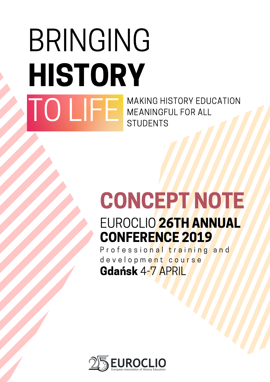### BRINGING HISTORY TO LIFE MAKING HISTORY EDUCATION MEANINGFUL FOR ALL **STUDENTS**

## EUROCLIO 26TH ANNUAL CONCEPT NOTE

CONFERENCE 2019 P r o f e s s i o <mark>n a l t r a i n i n g a n</mark> d

d e v e l o p m e n t c o u r s e Gdańsk 4-7 APRIL

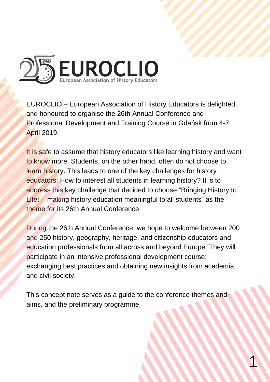

EUROCLIO – European Association of History Educators is delighted and honoured to organise the 26th Annual Conference and Professional Development and Training Course in Gdańsk from 4-7 April 2019.

It is safe to assume that history educators like learning history and want to know more. Students, on the other hand, often do not choose to learn history. This leads to one of the key challenges for history educators: How to interest all students in learning history? It is to address this key challenge that decided to choose "Bringing History to Life! - making history education meaningful to all students" as the theme for its 26th Annual Conference.

During the 26th Annual Conference, we hope to welcome between 200 and 250 history, geography, heritage, and citizenship educators and education professionals from all across and beyond Europe. They will participate in an intensive professional development course; exchanging best practices and obtaining new insights from academia and civil society.

This concept note serves as a guide to the conference themes and aims, and the preliminary programme.

1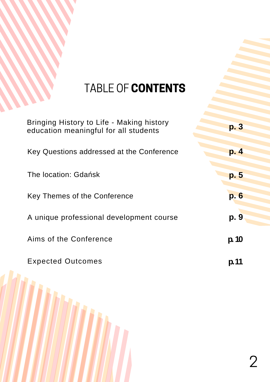### TABLE OF CONTENTS

| Bringing History to Life - Making history<br>education meaningful for all students | p. 3  |
|------------------------------------------------------------------------------------|-------|
| Key Questions addressed at the Conference                                          | p. 4  |
| The location: Gdańsk                                                               | p. 5  |
| Key Themes of the Conference                                                       | p. 6  |
| A unique professional development course                                           | p. 9  |
| Aims of the Conference                                                             | p. 10 |
| <b>Expected Outcomes</b>                                                           | p. 11 |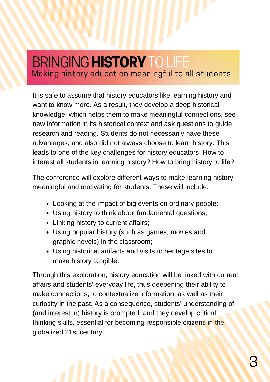#### BRINGING HISTORY TO LIFE Making history education meaningful to all students

It is safe to assume that history educators like learning history and want to know more. As a result, they develop a deep historical knowledge, which helps them to make meaningful connections, see new information in its historical context and ask questions to guide research and reading. Students do not necessarily have these advantages, and also did not always choose to learn history. This leads to one of the key challenges for history educators: How to interest all students in learning history? How to bring history to life?

The conference will explore different ways to make learning history meaningful and motivating for students. These will include:

- Looking at the impact of big events on ordinary people;
- Using history to think about fundamental questions;
- Linking history to current affairs;
- Using popular history (such as games, movies and graphic novels) in the classroom;
- Using historical artifacts and visits to heritage sites to make history tangible.

Through this exploration, history education will be linked with current affairs and students' everyday life, thus deepening their ability to make connections, to contextualize information, as well as their curiosity in the past. As a consequence, students' understanding of (and interest in) history is prompted, and they develop critical thinking skills, essential for becoming responsible citizens in the globalized 21st century.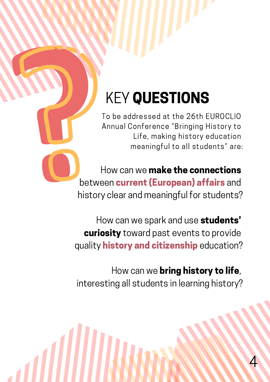## KEY QUESTIONS

To be addressed at the 26th EUROCLIO Annual Conference "Bringing History to Life, making history education meaningful to all students" are:

How can we make the connections between **current (European) affairs** and history clear and meaningful for students?

How can we spark and use students' curiosity toward past events to provide quality **history and citizenship** education?

How can we **bring history to life**, interesting all students in learning history?

4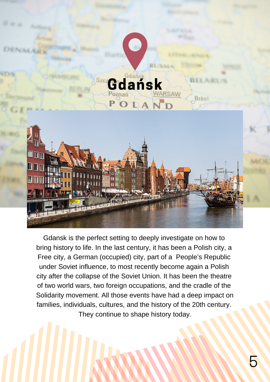

Gdansk is the perfect setting to deeply investigate on how to bring history to life. In the last century, it has been a Polish city, a Free city, a German (occupied) city, part of a People's Republic under Soviet influence, to most recently become again a Polish city after the collapse of the Soviet Union. It has been the theatre of two world wars, two foreign occupations, and the cradle of the Solidarity movement. All those events have had a deep impact on families, individuals, cultures, and the history of the 20th century. They continue to shape history today.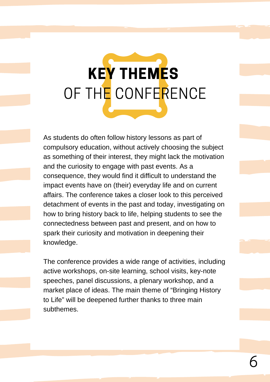# KEY THEMES OF THE CONFERENCE

As students do often follow history lessons as part of compulsory education, without actively choosing the subject as something of their interest, they might lack the motivation and the curiosity to engage with past events. As a consequence, they would find it difficult to understand the impact events have on (their) everyday life and on current affairs. The conference takes a closer look to this perceived detachment of events in the past and today, investigating on how to bring history back to life, helping students to see the connectedness between past and present, and on how to spark their curiosity and motivation in deepening their knowledge.

The conference provides a wide range of activities, including active workshops, on-site learning, school visits, key-note speeches, panel discussions, a plenary workshop, and a market place of ideas. The main theme of "Bringing History to Life" will be deepened further thanks to three main subthemes.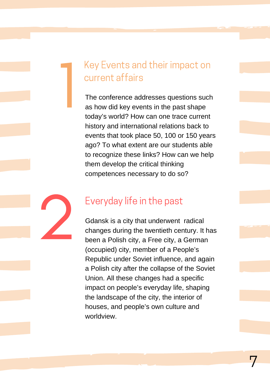#### Key Events and their impact on current affairs

1

The conference addresses questions such as how did key events in the past shape today's world? How can one trace current history and international relations back to events that took place 50, 100 or 150 years ago? To what extent are our students able to recognize these links? How can we help them develop the critical thinking competences necessary to do so?

#### Everyday life in the past

2 Gdansk is a city that underwent radical changes during the twentieth century. It has been a Polish city, a Free city, a German (occupied) city, member of a People's Republic under Soviet influence, and again a Polish city after the collapse of the Soviet Union. All these changes had a specific impact on people's everyday life, shaping the landscape of the city, the interior of houses, and people's own culture and worldview.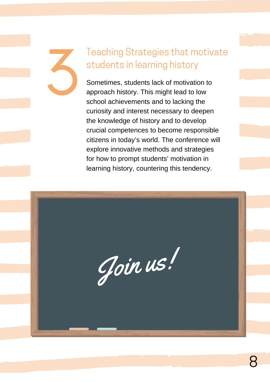## 3 Teaching Strategies that motivate students in learning history

Sometimes, students lack of motivation to approach history. This might lead to low school achievements and to lacking the curiosity and interest necessary to deepen the knowledge of history and to develop crucial competences to become responsible citizens in today's world. The conference will explore innovative methods and strategies for how to prompt students' motivation in learning history, countering this tendency.

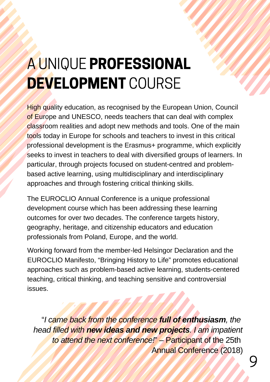## A UNIQUE PROFESSIONAL DEVELOPMENT COURSE

High quality education, as recognised by the European Union, Council of Europe and UNESCO, needs teachers that can deal with complex classroom realities and adopt new methods and tools. One of the main tools today in Europe for schools and teachers to invest in this critical professional development is the Erasmus+ programme, which explicitly seeks to invest in teachers to deal with diversified groups of learners. In particular, through projects focused on student-centred and problembased active learning, using multidisciplinary and interdisciplinary approaches and through fostering critical thinking skills.

The EUROCLIO Annual Conference is a unique professional development course which has been addressing these learning outcomes for over two decades. The conference targets history, geography, heritage, and citizenship educators and education professionals from Poland, Europe, and the world.

Working forward from the member-led Helsingor Declaration and the EUROCLIO Manifesto, "Bringing History to Life" promotes educational [approaches such as problem-based active learning, students-centered](http://euroclio.eu/manifesto/) teaching, critical thinking, and teaching sensitive and controversial issues.

"*I came back from the conference full of enthusiasm, the head filled with new ideas and new projects. I am impatient to attend the next conference!*" – Participant of the 25th Annual Conference (2018)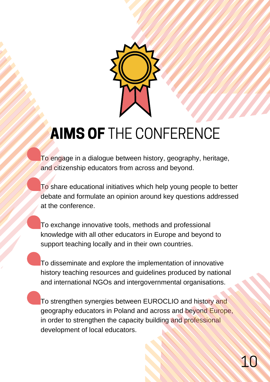

### **AIMS OF THE CONFERENCE**

To engage in a dialogue between history, geography, heritage, and citizenship educators from across and beyond.

To share educational initiatives which help young people to better debate and formulate an opinion around key questions addressed at the conference.

To exchange innovative tools, methods and professional knowledge with all other educators in Europe and beyond to support teaching locally and in their own countries.

To disseminate and explore the implementation of innovative history teaching resources and guidelines produced by national and international NGOs and intergovernmental organisations.

To strengthen synergies between EUROCLIO and history and geography educators in Poland and across and beyond Europe, in order to strengthen the capacity building and professional development of local educators.

10